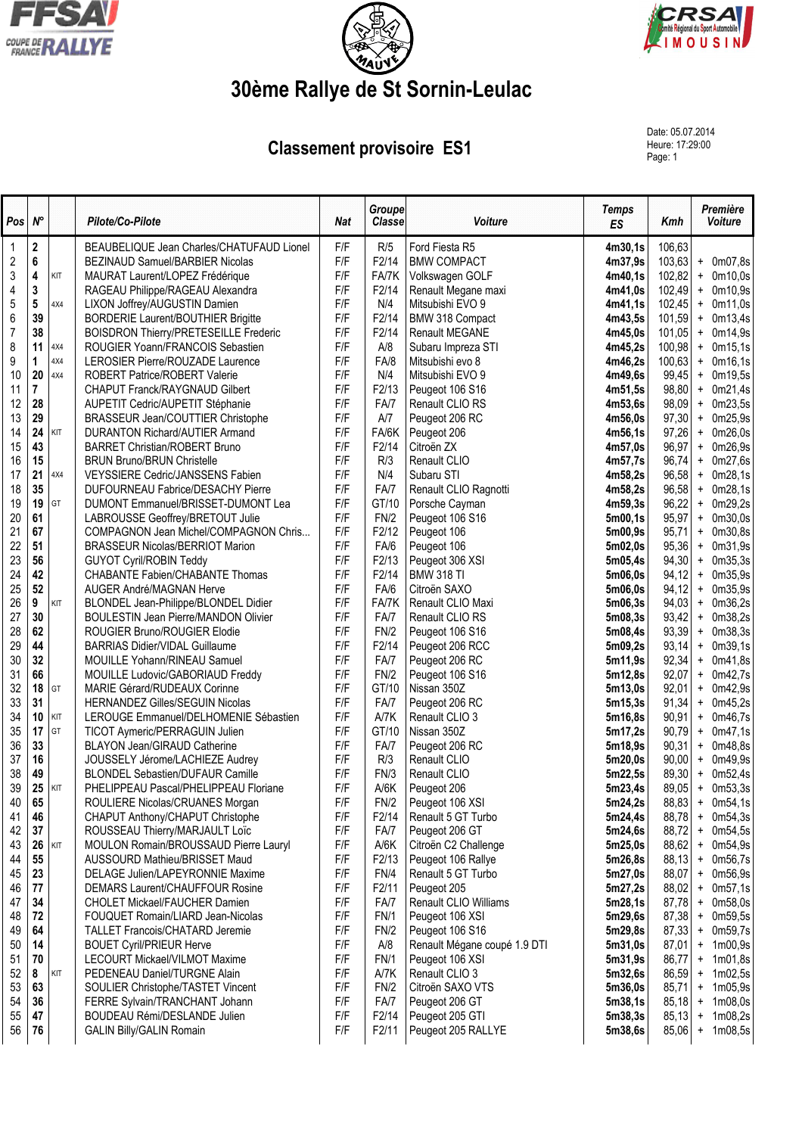





## **30ème Rallye de St Sornin-Leulac**

**Classement provisoire ES1** 

Date: 05.07.2014 Heure: 17:29:00<br>Page: 1

| Pos            | $N^{\circ}$             |     | Pilote/Co-Pilote                                                 | <b>Nat</b> | <b>Groupe</b><br><b>Classe</b> | Voiture                        | <b>Temps</b><br>ES | Kmh            | Première<br>Voiture                          |
|----------------|-------------------------|-----|------------------------------------------------------------------|------------|--------------------------------|--------------------------------|--------------------|----------------|----------------------------------------------|
|                | $\mathbf 2$             |     | BEAUBELIQUE Jean Charles/CHATUFAUD Lionel                        | F/F        | R/5                            | Ford Fiesta R5                 | 4m30,1s            | 106,63         |                                              |
| $\overline{c}$ | 6                       |     | BEZINAUD Samuel/BARBIER Nicolas                                  | F/F        | F2/14                          | <b>BMW COMPACT</b>             | 4m37,9s            | 103,63         | $+$ 0m07,8s                                  |
| 3              | 4                       | KIT | MAURAT Laurent/LOPEZ Frédérique                                  | F/F        | FA/7K                          | Volkswagen GOLF                | 4m40,1s            | 102,82         | $+$<br>0m10,0s                               |
| 4              | 3                       |     | RAGEAU Philippe/RAGEAU Alexandra                                 | F/F        | F2/14                          | Renault Megane maxi            | 4m41,0s            | 102,49         | $+$ 0m10,9s                                  |
| $\overline{5}$ | 5                       | 4X4 | LIXON Joffrey/AUGUSTIN Damien                                    | F/F        | N/4                            | Mitsubishi EVO 9               | 4m41,1s            | 102,45         | $+$ 0m11,0s                                  |
| 6              | 39                      |     | <b>BORDERIE Laurent/BOUTHIER Brigitte</b>                        | F/F        | F2/14                          | BMW 318 Compact                | 4m43,5s            | 101,59         | 0m13,4s<br>$\ddot{}$                         |
| $\overline{7}$ | 38                      |     | BOISDRON Thierry/PRETESEILLE Frederic                            | F/F        | F2/14                          | <b>Renault MEGANE</b>          | 4m45,0s            | 101,05         | $+$ 0m14,9s                                  |
| 8              | 11                      | 4X4 | ROUGIER Yoann/FRANCOIS Sebastien                                 | F/F        | A/8                            | Subaru Impreza STI             | 4m45,2s            | 100,98         | $\ddot{}$<br>0m15,1s                         |
| 9              | 1                       | 4X4 | LEROSIER Pierre/ROUZADE Laurence                                 | F/F        | FA/8                           | Mitsubishi evo 8               | 4m46,2s            | 100,63         | 0m16,1s<br>$\ddot{}$                         |
| 10             | 20                      | 4X4 | ROBERT Patrice/ROBERT Valerie                                    | F/F        | N/4                            | Mitsubishi EVO 9               | 4m49,6s            | 99,45          | 0m19,5s<br>$\pmb{+}$                         |
| 11             | $\overline{\mathbf{r}}$ |     | <b>CHAPUT Franck/RAYGNAUD Gilbert</b>                            | F/F        | F2/13                          | Peugeot 106 S16                | 4m51,5s            | 98,80          | 0m21,4s<br>$\pmb{+}$                         |
| 12             | 28                      |     | AUPETIT Cedric/AUPETIT Stéphanie                                 | F/F        | FA/7                           | Renault CLIO RS                | 4m53,6s            | 98,09          | 0m23,5s<br>$\ddot{}$                         |
| 13             | 29                      |     | BRASSEUR Jean/COUTTIER Christophe                                | F/F        | A/7                            | Peugeot 206 RC                 | 4m56,0s            | 97,30          | 0m25,9s<br>$\ddot{}$                         |
| 14             | 24                      | KIT | <b>DURANTON Richard/AUTIER Armand</b>                            | F/F        | FA/6K                          | Peugeot 206                    | 4m56,1s            | 97,26          | 0m26,0s<br>$\ddot{}$                         |
| 15             | 43                      |     | <b>BARRET Christian/ROBERT Bruno</b>                             | F/F        | F2/14                          | Citroën ZX                     | 4m57,0s            | 96,97          | 0m26,9s<br>$\ddot{}$                         |
| 16             | 15                      |     | <b>BRUN Bruno/BRUN Christelle</b>                                | F/F        | R/3                            | Renault CLIO                   | 4m57,7s            | 96,74          | 0m27,6s<br>$\ddot{}$                         |
| 17             | 21                      | 4X4 | VEYSSIERE Cedric/JANSSENS Fabien                                 | F/F        | N/4                            | Subaru STI                     | 4m58,2s            | 96,58          | 0m28,1s<br>$\ddot{}$                         |
| 18             | 35                      |     | DUFOURNEAU Fabrice/DESACHY Pierre                                | F/F        | FA/7                           | Renault CLIO Ragnotti          | 4m58,2s            | 96,58          | 0m28,1s<br>$\ddot{}$                         |
| 19             | 19                      | GT  | DUMONT Emmanuel/BRISSET-DUMONT Lea                               | F/F        | GT/10                          | Porsche Cayman                 | 4m59,3s            | 96,22          | 0m29,2s<br>$\ddot{}$                         |
| 20             | 61                      |     | LABROUSSE Geoffrey/BRETOUT Julie                                 | F/F        | FN/2                           | Peugeot 106 S16                | 5m00,1s            | 95,97          | 0m30,0s<br>$\ddot{}$                         |
| 21             | 67                      |     | COMPAGNON Jean Michel/COMPAGNON Chris                            | F/F        | F2/12                          | Peugeot 106                    | 5m00,9s            | 95,71          | 0m30,8s<br>$\ddot{}$                         |
| 22             | 51                      |     | <b>BRASSEUR Nicolas/BERRIOT Marion</b>                           | F/F        | FA/6                           | Peugeot 106                    | 5m02,0s            | 95,36          | 0m31,9s<br>$\ddot{}$                         |
| 23             | 56                      |     | <b>GUYOT Cyril/ROBIN Teddy</b>                                   | F/F        | F2/13                          | Peugeot 306 XSI                | 5m05,4s            | 94,30          | 0m35,3s<br>$\ddot{}$                         |
| 24             | 42                      |     | CHABANTE Fabien/CHABANTE Thomas                                  | F/F        | F2/14                          | <b>BMW 318 TI</b>              | 5m06,0s            | 94,12          | 0m35,9s<br>$\ddot{}$                         |
| 25             | 52                      |     | AUGER André/MAGNAN Herve                                         | F/F        | FA/6                           | Citroën SAXO                   | 5m06,0s            | 94,12          | 0m35,9s<br>$\ddot{}$                         |
| 26<br>27       | 9<br>30                 | KIT | BLONDEL Jean-Philippe/BLONDEL Didier                             | F/F<br>F/F | FA/7K                          | Renault CLIO Maxi              | 5m06,3s            | 94,03          | 0m36,2s<br>$\ddot{}$                         |
|                | 62                      |     | <b>BOULESTIN Jean Pierre/MANDON Olivier</b>                      | F/F        | FA/7                           | Renault CLIO RS                | 5m08,3s            | 93,42          | 0m38,2s<br>$\ddot{}$                         |
| 28             |                         |     | ROUGIER Bruno/ROUGIER Elodie                                     | F/F        | FN/2                           | Peugeot 106 S16                | 5m08,4s            | 93,39          | 0m38,3s<br>$\ddot{}$                         |
| 29<br>30       | 44<br>32                |     | <b>BARRIAS Didier/VIDAL Guillaume</b>                            | F/F        | F2/14<br>FA/7                  | Peugeot 206 RCC                | 5m09,2s<br>5m11,9s | 93,14<br>92,34 | 0m39,1s<br>$\ddot{}$<br>0m41,8s<br>$\ddot{}$ |
| 31             | 66                      |     | MOUILLE Yohann/RINEAU Samuel                                     | F/F        | FN/2                           | Peugeot 206 RC                 | 5m12,8s            | 92,07          | 0m42,7s<br>$+$                               |
| 32             | 18                      | GT  | MOUILLE Ludovic/GABORIAUD Freddy<br>MARIE Gérard/RUDEAUX Corinne | F/F        | GT/10                          | Peugeot 106 S16<br>Nissan 350Z | 5m13,0s            | 92,01          | 0m42,9s<br>$\ddot{}$                         |
| 33             | 31                      |     | HERNANDEZ Gilles/SEGUIN Nicolas                                  | F/F        | FA/7                           | Peugeot 206 RC                 | 5m15,3s            | 91,34          | 0m45,2s<br>$\ddot{}$                         |
| 34             | 10                      | KIT | LEROUGE Emmanuel/DELHOMENIE Sébastien                            | F/F        | A/7K                           | Renault CLIO 3                 | 5m16,8s            | 90,91          | 0m46,7s<br>$\pmb{+}$                         |
| 35             | 17                      | GT  | TICOT Aymeric/PERRAGUIN Julien                                   | F/F        | GT/10                          | Nissan 350Z                    | 5m17,2s            | 90,79          | 0m47,1s<br>$\pmb{+}$                         |
| 36             | 33                      |     | BLAYON Jean/GIRAUD Catherine                                     | F/F        | FA/7                           | Peugeot 206 RC                 | 5m18,9s            | 90,31          | 0m48,8s<br>$\pmb{+}$                         |
| 37             | 16                      |     | JOUSSELY Jérome/LACHIEZE Audrey                                  | F/F        | R/3                            | Renault CLIO                   | 5m20,0s            | 90,00          | 0m49,9s<br>$\ddot{}$                         |
| 38             | 49                      |     | <b>BLONDEL Sebastien/DUFAUR Camille</b>                          | F/F        | FN/3                           | Renault CLIO                   | 5m22,5s            | 89,30          | 0m52,4s<br>$\ddot{}$                         |
| 39             | 25                      | KIT | PHELIPPEAU Pascal/PHELIPPEAU Floriane                            | F/F        | A/6K                           | Peugeot 206                    | 5m23,4s            | 89,05          | $+$ 0m53,3s                                  |
| 40             | 65                      |     | ROULIERE Nicolas/CRUANES Morgan                                  | F/F        | FN/2                           | Peugeot 106 XSI                | 5m24,2s            | 88,83          | $+$ 0m54,1s                                  |
| 41             | 46                      |     | CHAPUT Anthony/CHAPUT Christophe                                 | F/F        | F2/14                          | Renault 5 GT Turbo             | 5m24,4s            | 88,78          | $+$ 0m54,3s                                  |
| 42             | 37                      |     | ROUSSEAU Thierry/MARJAULT Loïc                                   | F/F        | FA/7                           | Peugeot 206 GT                 | 5m24,6s            | 88,72          | $+$ 0m54,5s                                  |
| 43             | 26                      | KIT | MOULON Romain/BROUSSAUD Pierre Lauryl                            | F/F        | A/6K                           | Citroën C2 Challenge           | 5m25,0s            | 88,62          | $+$ 0m54,9s                                  |
| 44             | 55                      |     | AUSSOURD Mathieu/BRISSET Maud                                    | F/F        | F2/13                          | Peugeot 106 Rallye             | 5m26,8s            | 88,13          | $+$ 0m56,7s                                  |
| 45             | 23                      |     | DELAGE Julien/LAPEYRONNIE Maxime                                 | F/F        | FN/4                           | Renault 5 GT Turbo             | 5m27,0s            | 88,07          | + 0m56,9s                                    |
| 46             | 77                      |     | <b>DEMARS Laurent/CHAUFFOUR Rosine</b>                           | F/F        | F2/11                          | Peugeot 205                    | 5m27,2s            | 88,02          | 0m57,1s<br>$\ddot{}$                         |
| 47             | 34                      |     | CHOLET Mickael/FAUCHER Damien                                    | F/F        | FA/7                           | Renault CLIO Williams          | 5m28,1s            | 87,78          | 0m58,0s<br>$\ddot{}$                         |
| 48             | 72                      |     | FOUQUET Romain/LIARD Jean-Nicolas                                | F/F        | FN/1                           | Peugeot 106 XSI                | 5m29,6s            | 87,38          | 0m59,5s<br>$\ddot{}$                         |
| 49             | 64                      |     | <b>TALLET Francois/CHATARD Jeremie</b>                           | F/F        | FN/2                           | Peugeot 106 S16                | 5m29,8s            | 87,33          | 0m59,7s<br>$+$                               |
| 50             | 14                      |     | <b>BOUET Cyril/PRIEUR Herve</b>                                  | F/F        | A/8                            | Renault Mégane coupé 1.9 DTI   | 5m31,0s            | 87,01          | $+ 1m00,9s$                                  |
| 51             | 70                      |     | LECOURT Mickael/VILMOT Maxime                                    | F/F        | FN/1                           | Peugeot 106 XSI                | 5m31,9s            | 86,77          | 1m01,8s<br>$+$                               |
| 52             | 8                       | KIT | PEDENEAU Daniel/TURGNE Alain                                     | F/F        | A/7K                           | Renault CLIO 3                 | 5m32,6s            | 86,59          | 1m02,5s<br>$\ddot{}$                         |
| 53             | 63                      |     | SOULIER Christophe/TASTET Vincent                                | F/F        | FN/2                           | Citroën SAXO VTS               | 5m36,0s            | 85,71          | 1m05,9s<br>$\ddot{}$                         |
| 54             | 36                      |     | FERRE Sylvain/TRANCHANT Johann                                   | F/F        | FA/7                           | Peugeot 206 GT                 | 5m38,1s            | 85,18          | 1m08,0s<br>$+$                               |
| 55             | 47                      |     | BOUDEAU Rémi/DESLANDE Julien                                     | F/F        | F2/14                          | Peugeot 205 GTI                | 5m38,3s            | 85,13          | 1m08,2s<br>$\ddot{}$                         |
| 56             | 76                      |     | <b>GALIN Billy/GALIN Romain</b>                                  | F/F        | F2/11                          | Peugeot 205 RALLYE             | 5m38,6s            | 85,06          | 1m08,5s<br>$\pmb{+}$                         |
|                |                         |     |                                                                  |            |                                |                                |                    |                |                                              |